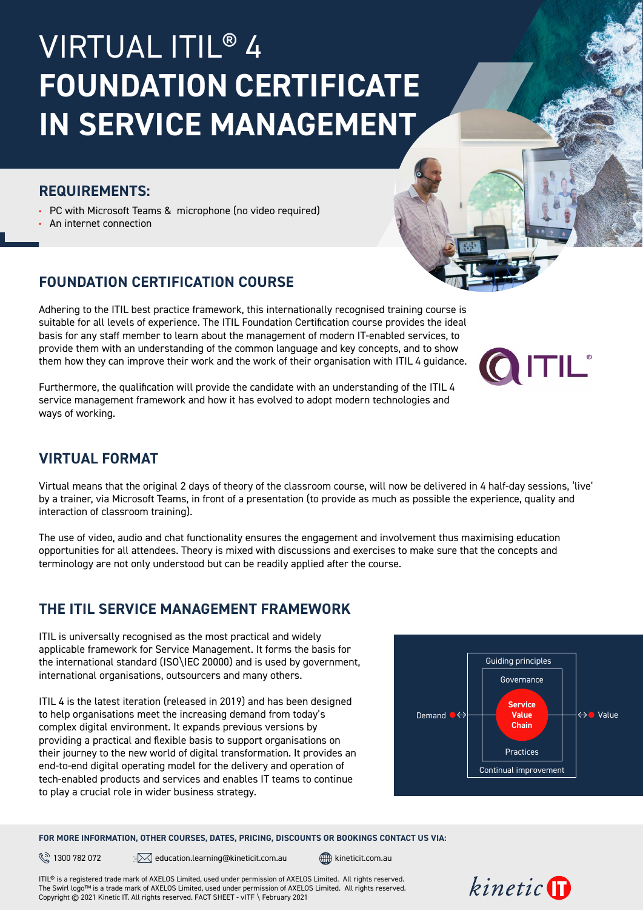# VIRTUAL ITIL® 4 **FOUNDATION CERTIFICATE IN SERVICE MANAGEMENT**

#### **REQUIREMENTS:**

**•** PC with Microsoft Teams & microphone (no video required)

**•** An internet connection

## **FOUNDATION CERTIFICATION COURSE**

Adhering to the ITIL best practice framework, this internationally recognised training course is suitable for all levels of experience. The ITIL Foundation Certification course provides the ideal basis for any staff member to learn about the management of modern IT-enabled services, to provide them with an understanding of the common language and key concepts, and to show them how they can improve their work and the work of their organisation with ITIL 4 guidance.

Furthermore, the qualification will provide the candidate with an understanding of the ITIL 4 service management framework and how it has evolved to adopt modern technologies and ways of working.

### **VIRTUAL FORMAT**

Virtual means that the original 2 days of theory of the classroom course, will now be delivered in 4 half-day sessions, 'live' by a trainer, via Microsoft Teams, in front of a presentation (to provide as much as possible the experience, quality and interaction of classroom training).

The use of video, audio and chat functionality ensures the engagement and involvement thus maximising education opportunities for all attendees. Theory is mixed with discussions and exercises to make sure that the concepts and terminology are not only understood but can be readily applied after the course.

# **THE ITIL SERVICE MANAGEMENT FRAMEWORK**

ITIL is universally recognised as the most practical and widely applicable framework for Service Management. It forms the basis for the international standard (ISO\IEC 20000) and is used by government, international organisations, outsourcers and many others.

ITIL 4 is the latest iteration (released in 2019) and has been designed to help organisations meet the increasing demand from today's complex digital environment. It expands previous versions by providing a practical and flexible basis to support organisations on their journey to the new world of digital transformation. It provides an end-to-end digital operating model for the delivery and operation of tech-enabled products and services and enables IT teams to continue to play a crucial role in wider business strategy.



#### **FOR MORE INFORMATION, OTHER COURSES, DATES, PRICING, DISCOUNTS OR BOOKINGS CONTACT US VIA:**

 $\mathbb{R}$  1300 782 072  $\mathbb{R}$  education.learning@[kineticit.com.au](http://kineticit.com.au)  $\mathbb{R}$  kineticit.com.au

ITIL® is a registered trade mark of AXELOS Limited, used under permission of AXELOS Limited. All rights reserved. The Swirl logo™ is a trade mark of AXELOS Limited, used under permission of AXELOS Limited. All rights reserved. Copyright © 2021 Kinetic IT. All rights reserved. FACT SHEET - vITF \ February 2021